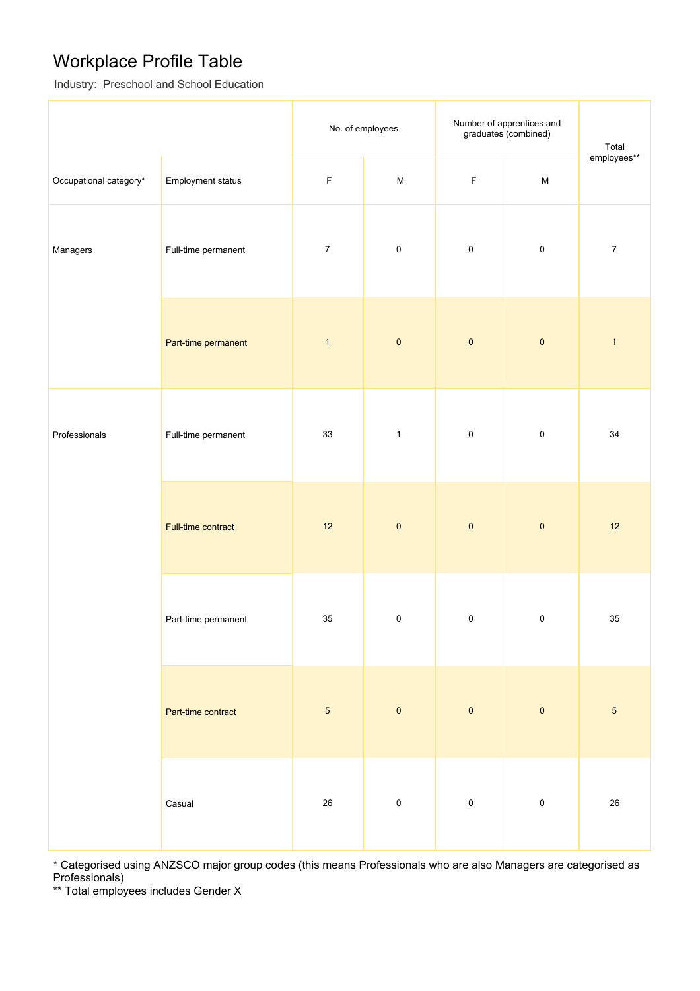## Workplace Profile Table

Industry: Preschool and School Education

|                        |                          | No. of employees |                                                                                       | Number of apprentices and<br>graduates (combined) |             | Total            |
|------------------------|--------------------------|------------------|---------------------------------------------------------------------------------------|---------------------------------------------------|-------------|------------------|
| Occupational category* | <b>Employment status</b> | $\mathsf F$      | $\mathsf{M}% _{T}=\mathsf{M}_{T}\!\left( a,b\right) ,\ \mathsf{M}_{T}=\mathsf{M}_{T}$ | $\mathsf F$                                       | ${\sf M}$   | employees**      |
| Managers               | Full-time permanent      | $\boldsymbol{7}$ | $\pmb{0}$                                                                             | $\pmb{0}$                                         | $\mathbf 0$ | $\boldsymbol{7}$ |
|                        | Part-time permanent      | $\mathbf{1}$     | $\pmb{0}$                                                                             | $\pmb{0}$                                         | $\pmb{0}$   | $\mathbf{1}$     |
| Professionals          | Full-time permanent      | 33               | $\mathbf{1}$                                                                          | $\pmb{0}$                                         | $\mathbf 0$ | 34               |
|                        | Full-time contract       | 12               | $\pmb{0}$                                                                             | $\pmb{0}$                                         | $\pmb{0}$   | 12               |
|                        | Part-time permanent      | 35               | $\mathsf 0$                                                                           | $\pmb{0}$                                         | $\mathbf 0$ | 35               |
|                        | Part-time contract       | $\sqrt{5}$       | $\pmb{0}$                                                                             | $\pmb{0}$                                         | $\pmb{0}$   | $\sqrt{5}$       |
|                        | Casual                   | $26\,$           | $\pmb{0}$                                                                             | $\pmb{0}$                                         | $\mathbf 0$ | 26               |

\* Categorised using ANZSCO major group codes (this means Professionals who are also Managers are categorised as Professionals)

\*\* Total employees includes Gender X